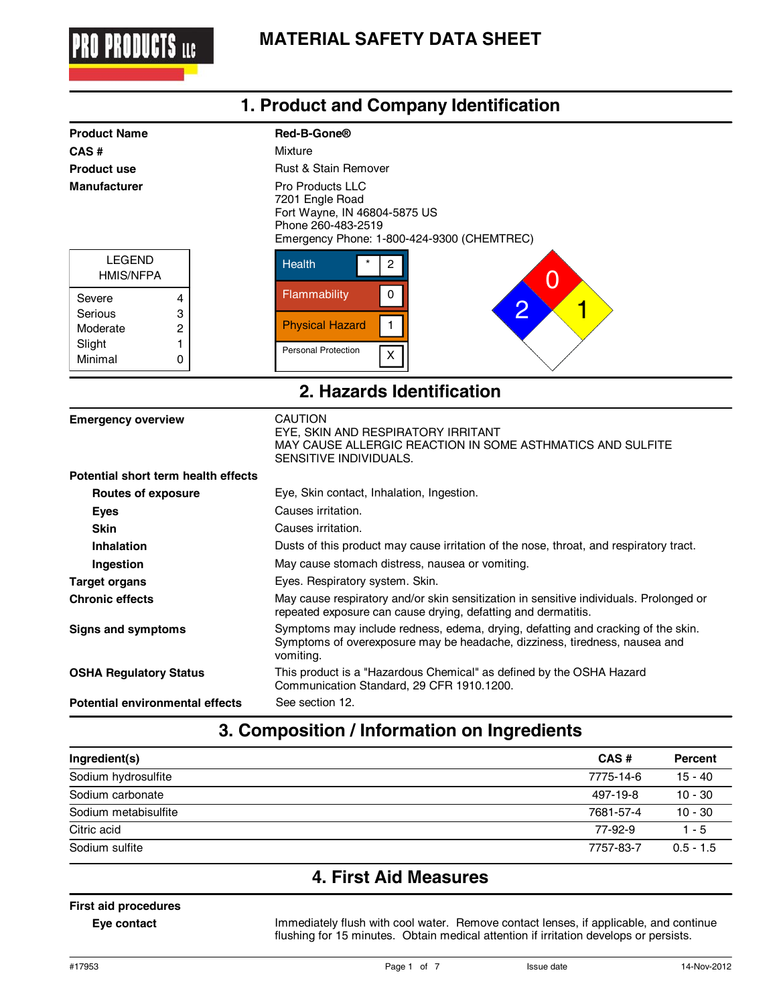

| 1. Product and Company Identification                                                                            |                                                                                                                                                                                                                         |  |  |
|------------------------------------------------------------------------------------------------------------------|-------------------------------------------------------------------------------------------------------------------------------------------------------------------------------------------------------------------------|--|--|
| <b>Product Name</b><br>CAS#<br><b>Product use</b><br><b>Manufacturer</b>                                         | Red-B-Gone®<br>Mixture<br><b>Rust &amp; Stain Remover</b><br><b>Pro Products LLC</b><br>7201 Engle Road<br>Fort Wayne, IN 46804-5875 US<br>Phone 260-483-2519                                                           |  |  |
| <b>LEGEND</b><br><b>HMIS/NFPA</b><br>4<br>Severe<br>Serious<br>3<br>Moderate<br>2<br>Slight<br>1<br>Minimal<br>0 | Emergency Phone: 1-800-424-9300 (CHEMTREC)<br><b>Health</b><br>$\boldsymbol{2}$<br>O<br>$\mathsf 0$<br>Flammability<br>$\overline{2}$<br>1<br><b>Physical Hazard</b><br>$\mathbf{1}$<br><b>Personal Protection</b><br>Χ |  |  |
|                                                                                                                  | 2. Hazards Identification                                                                                                                                                                                               |  |  |
| <b>Emergency overview</b>                                                                                        | <b>CAUTION</b><br>EYE, SKIN AND RESPIRATORY IRRITANT<br>MAY CAUSE ALLERGIC REACTION IN SOME ASTHMATICS AND SULFITE<br>SENSITIVE INDIVIDUALS.                                                                            |  |  |
| Potential short term health effects                                                                              |                                                                                                                                                                                                                         |  |  |
| <b>Routes of exposure</b>                                                                                        | Eye, Skin contact, Inhalation, Ingestion.                                                                                                                                                                               |  |  |
| <b>Eyes</b>                                                                                                      | Causes irritation.                                                                                                                                                                                                      |  |  |
| <b>Skin</b>                                                                                                      | Causes irritation.                                                                                                                                                                                                      |  |  |
| <b>Inhalation</b>                                                                                                | Dusts of this product may cause irritation of the nose, throat, and respiratory tract.                                                                                                                                  |  |  |
| Ingestion                                                                                                        | May cause stomach distress, nausea or vomiting.                                                                                                                                                                         |  |  |
| <b>Target organs</b>                                                                                             | Eyes. Respiratory system. Skin.                                                                                                                                                                                         |  |  |
| <b>Chronic effects</b>                                                                                           | May cause respiratory and/or skin sensitization in sensitive individuals. Prolonged or<br>repeated exposure can cause drying, defatting and dermatitis.                                                                 |  |  |
| <b>Signs and symptoms</b>                                                                                        | Symptoms may include redness, edema, drying, defatting and cracking of the skin.<br>Symptoms of overexposure may be headache, dizziness, tiredness, nausea and<br>vomiting.                                             |  |  |
| <b>OSHA Regulatory Status</b>                                                                                    | This product is a "Hazardous Chemical" as defined by the OSHA Hazard<br>Communication Standard, 29 CFR 1910.1200.                                                                                                       |  |  |
| Potential environmental effects                                                                                  | See section 12.                                                                                                                                                                                                         |  |  |

## **3. Composition / Information on Ingredients**

| Ingredient(s)        | CAS#      | Percent     |
|----------------------|-----------|-------------|
| Sodium hydrosulfite  | 7775-14-6 | $15 - 40$   |
| Sodium carbonate     | 497-19-8  | $10 - 30$   |
| Sodium metabisulfite | 7681-57-4 | $10 - 30$   |
| Citric acid          | 77-92-9   | $1 - 5$     |
| Sodium sulfite       | 7757-83-7 | $0.5 - 1.5$ |

## **4. First Aid Measures**

#### **First aid procedures**

**Eye contact**

Immediately flush with cool water. Remove contact lenses, if applicable, and continue flushing for 15 minutes. Obtain medical attention if irritation develops or persists.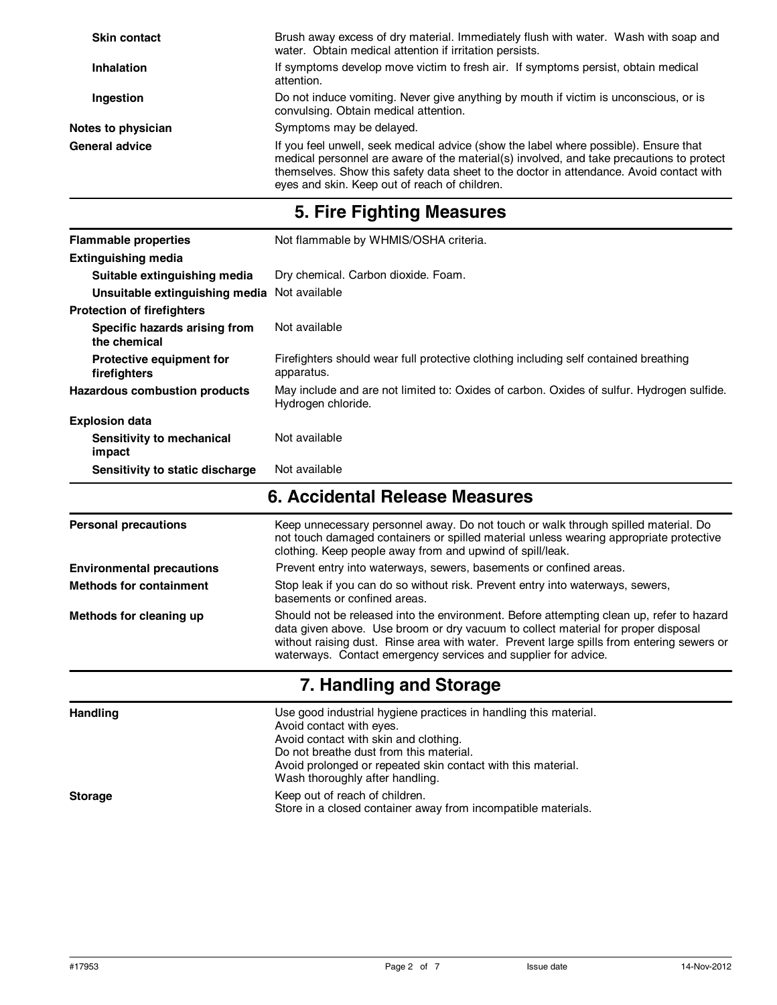| <b>Skin contact</b> | Brush away excess of dry material. Immediately flush with water. Wash with soap and<br>water. Obtain medical attention if irritation persists.                                                                                                                                                                               |  |  |
|---------------------|------------------------------------------------------------------------------------------------------------------------------------------------------------------------------------------------------------------------------------------------------------------------------------------------------------------------------|--|--|
| <b>Inhalation</b>   | If symptoms develop move victim to fresh air. If symptoms persist, obtain medical<br>attention.                                                                                                                                                                                                                              |  |  |
| Ingestion           | Do not induce vomiting. Never give anything by mouth if victim is unconscious, or is<br>convulsing. Obtain medical attention.                                                                                                                                                                                                |  |  |
| Notes to physician  | Symptoms may be delayed.                                                                                                                                                                                                                                                                                                     |  |  |
| General advice      | If you feel unwell, seek medical advice (show the label where possible). Ensure that<br>medical personnel are aware of the material(s) involved, and take precautions to protect<br>themselves. Show this safety data sheet to the doctor in attendance. Avoid contact with<br>eyes and skin. Keep out of reach of children. |  |  |

## **5. Fire Fighting Measures**

| <b>Flammable properties</b>                     | Not flammable by WHMIS/OSHA criteria.                                                                                                                                                                                                     |  |  |
|-------------------------------------------------|-------------------------------------------------------------------------------------------------------------------------------------------------------------------------------------------------------------------------------------------|--|--|
| <b>Extinguishing media</b>                      |                                                                                                                                                                                                                                           |  |  |
| Suitable extinguishing media                    | Dry chemical. Carbon dioxide. Foam.                                                                                                                                                                                                       |  |  |
| Unsuitable extinguishing media                  | Not available                                                                                                                                                                                                                             |  |  |
| <b>Protection of firefighters</b>               |                                                                                                                                                                                                                                           |  |  |
| Specific hazards arising from<br>the chemical   | Not available                                                                                                                                                                                                                             |  |  |
| <b>Protective equipment for</b><br>firefighters | Firefighters should wear full protective clothing including self contained breathing<br>apparatus.                                                                                                                                        |  |  |
| Hazardous combustion products                   | May include and are not limited to: Oxides of carbon. Oxides of sulfur. Hydrogen sulfide.<br>Hydrogen chloride.                                                                                                                           |  |  |
| <b>Explosion data</b>                           |                                                                                                                                                                                                                                           |  |  |
| Sensitivity to mechanical<br>impact             | Not available                                                                                                                                                                                                                             |  |  |
| Sensitivity to static discharge                 | Not available                                                                                                                                                                                                                             |  |  |
|                                                 | 6. Accidental Release Measures                                                                                                                                                                                                            |  |  |
| <b>Personal precautions</b>                     | Keep unnecessary personnel away. Do not touch or walk through spilled material. Do<br>not touch damaged containers or spilled material unless wearing appropriate protective<br>clothing. Keep people away from and upwind of spill/leak. |  |  |
| <b>Environmental precautions</b>                | Prevent entry into waterways, sewers, basements or confined areas.                                                                                                                                                                        |  |  |
| <b>Methods for containment</b>                  | Stop leak if you can do so without risk. Prevent entry into waterways, sewers,<br>basements or confined areas.                                                                                                                            |  |  |

**Methods for cleaning up** Should not be released into the environment. Before attempting clean up, refer to hazard data given above. Use broom or dry vacuum to collect material for proper disposal without raising dust. Rinse area with water. Prevent large spills from entering sewers or waterways. Contact emergency services and supplier for advice.

### **7. Handling and Storage**

**Handling** Use good industrial hygiene practices in handling this material. Avoid contact with eyes. Avoid contact with skin and clothing. Do not breathe dust from this material. Avoid prolonged or repeated skin contact with this material. Wash thoroughly after handling. **Storage** Keep out of reach of children. Store in a closed container away from incompatible materials.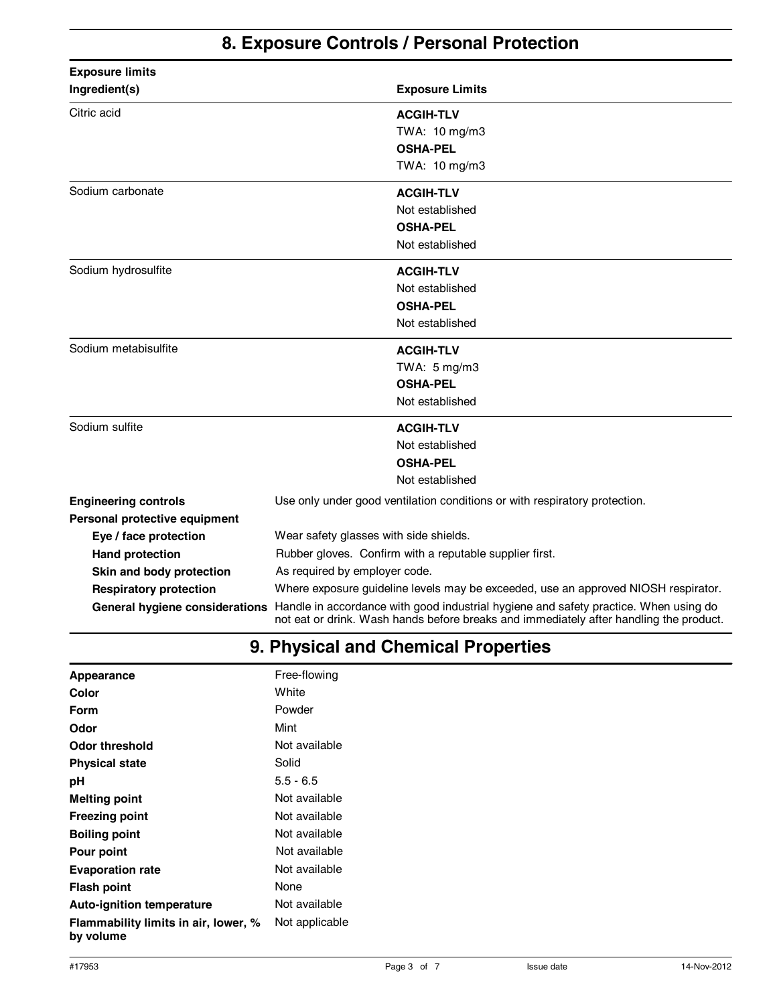## **8. Exposure Controls / Personal Protection**

| <b>Exposure limits</b>        |                                                                                                                                                                                                               |  |
|-------------------------------|---------------------------------------------------------------------------------------------------------------------------------------------------------------------------------------------------------------|--|
| Ingredient(s)                 | <b>Exposure Limits</b>                                                                                                                                                                                        |  |
| Citric acid                   | <b>ACGIH-TLV</b>                                                                                                                                                                                              |  |
|                               | TWA: 10 mg/m3                                                                                                                                                                                                 |  |
|                               | <b>OSHA-PEL</b>                                                                                                                                                                                               |  |
|                               | TWA: 10 mg/m3                                                                                                                                                                                                 |  |
| Sodium carbonate              | <b>ACGIH-TLV</b>                                                                                                                                                                                              |  |
|                               | Not established                                                                                                                                                                                               |  |
|                               | <b>OSHA-PEL</b>                                                                                                                                                                                               |  |
|                               | Not established                                                                                                                                                                                               |  |
| Sodium hydrosulfite           | <b>ACGIH-TLV</b>                                                                                                                                                                                              |  |
|                               | Not established                                                                                                                                                                                               |  |
|                               | <b>OSHA-PEL</b>                                                                                                                                                                                               |  |
|                               | Not established                                                                                                                                                                                               |  |
| Sodium metabisulfite          | <b>ACGIH-TLV</b>                                                                                                                                                                                              |  |
|                               | TWA: $5 \text{ mg/m}3$                                                                                                                                                                                        |  |
|                               | <b>OSHA-PEL</b>                                                                                                                                                                                               |  |
|                               | Not established                                                                                                                                                                                               |  |
| Sodium sulfite                | <b>ACGIH-TLV</b>                                                                                                                                                                                              |  |
|                               | Not established                                                                                                                                                                                               |  |
|                               | <b>OSHA-PEL</b>                                                                                                                                                                                               |  |
|                               | Not established                                                                                                                                                                                               |  |
| <b>Engineering controls</b>   | Use only under good ventilation conditions or with respiratory protection.                                                                                                                                    |  |
| Personal protective equipment |                                                                                                                                                                                                               |  |
| Eye / face protection         | Wear safety glasses with side shields.                                                                                                                                                                        |  |
| <b>Hand protection</b>        | Rubber gloves. Confirm with a reputable supplier first.                                                                                                                                                       |  |
| Skin and body protection      | As required by employer code.                                                                                                                                                                                 |  |
| <b>Respiratory protection</b> | Where exposure guideline levels may be exceeded, use an approved NIOSH respirator.                                                                                                                            |  |
|                               | General hygiene considerations Handle in accordance with good industrial hygiene and safety practice. When using do<br>not eat or drink. Wash hands before breaks and immediately after handling the product. |  |

## **9. Physical and Chemical Properties**

| Appearance                                        | Free-flowing   |
|---------------------------------------------------|----------------|
| Color                                             | White          |
| Form                                              | Powder         |
| Odor                                              | Mint           |
| Odor threshold                                    | Not available  |
| <b>Physical state</b>                             | Solid          |
| рH                                                | $5.5 - 6.5$    |
| <b>Melting point</b>                              | Not available  |
| <b>Freezing point</b>                             | Not available  |
| <b>Boiling point</b>                              | Not available  |
| Pour point                                        | Not available  |
| <b>Evaporation rate</b>                           | Not available  |
| Flash point                                       | None           |
| <b>Auto-ignition temperature</b>                  | Not available  |
| Flammability limits in air, lower, %<br>by volume | Not applicable |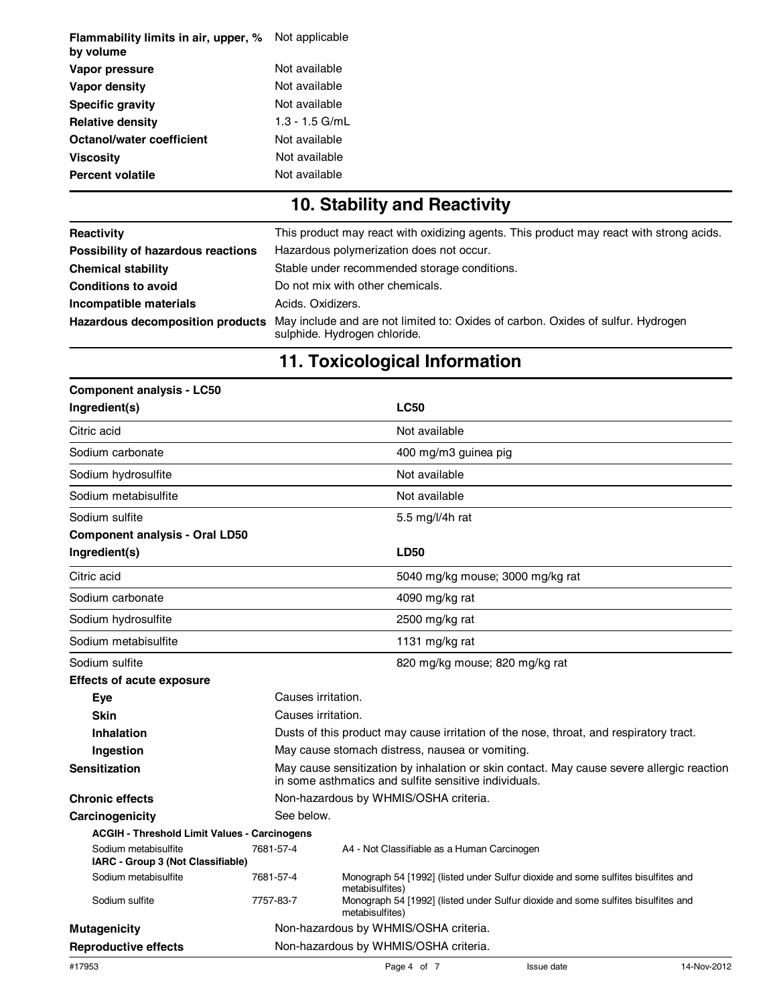| Flammability limits in air, upper, %<br>by volume | Not applicable   |
|---------------------------------------------------|------------------|
| Vapor pressure                                    | Not available    |
| Vapor density                                     | Not available    |
| <b>Specific gravity</b>                           | Not available    |
| <b>Relative density</b>                           | $1.3 - 1.5$ G/mL |
| Octanol/water coefficient                         | Not available    |
| Viscosity                                         | Not available    |
| <b>Percent volatile</b>                           | Not available    |

# **10. Stability and Reactivity**

| Reactivity                         | This product may react with oxidizing agents. This product may react with strong acids.                          |  |  |
|------------------------------------|------------------------------------------------------------------------------------------------------------------|--|--|
| Possibility of hazardous reactions | Hazardous polymerization does not occur.                                                                         |  |  |
| <b>Chemical stability</b>          | Stable under recommended storage conditions.                                                                     |  |  |
| <b>Conditions to avoid</b>         | Do not mix with other chemicals.                                                                                 |  |  |
| Incompatible materials             | Acids. Oxidizers.                                                                                                |  |  |
| Hazardous decomposition products   | May include and are not limited to: Oxides of carbon. Oxides of sulfur. Hydrogen<br>sulphide. Hydrogen chloride. |  |  |

# **11. Toxicological Information**

| <b>Component analysis - LC50</b>                          |            |                                                                                                                                                    |  |
|-----------------------------------------------------------|------------|----------------------------------------------------------------------------------------------------------------------------------------------------|--|
| Ingredient(s)                                             |            | <b>LC50</b>                                                                                                                                        |  |
| Citric acid                                               |            | Not available                                                                                                                                      |  |
| Sodium carbonate                                          |            | 400 mg/m3 guinea pig                                                                                                                               |  |
| Sodium hydrosulfite                                       |            | Not available                                                                                                                                      |  |
| Sodium metabisulfite                                      |            | Not available                                                                                                                                      |  |
| Sodium sulfite                                            |            | 5.5 mg/l/4h rat                                                                                                                                    |  |
| <b>Component analysis - Oral LD50</b>                     |            |                                                                                                                                                    |  |
| Ingredient(s)                                             |            | <b>LD50</b>                                                                                                                                        |  |
| Citric acid                                               |            | 5040 mg/kg mouse; 3000 mg/kg rat                                                                                                                   |  |
| Sodium carbonate                                          |            | 4090 mg/kg rat                                                                                                                                     |  |
| Sodium hydrosulfite                                       |            | 2500 mg/kg rat                                                                                                                                     |  |
| Sodium metabisulfite                                      |            | 1131 mg/kg rat                                                                                                                                     |  |
| Sodium sulfite                                            |            | 820 mg/kg mouse; 820 mg/kg rat                                                                                                                     |  |
| <b>Effects of acute exposure</b>                          |            |                                                                                                                                                    |  |
| Eye                                                       |            | Causes irritation.                                                                                                                                 |  |
| <b>Skin</b>                                               |            | Causes irritation.                                                                                                                                 |  |
| Inhalation                                                |            | Dusts of this product may cause irritation of the nose, throat, and respiratory tract.                                                             |  |
| Ingestion                                                 |            | May cause stomach distress, nausea or vomiting.                                                                                                    |  |
| <b>Sensitization</b>                                      |            | May cause sensitization by inhalation or skin contact. May cause severe allergic reaction<br>in some asthmatics and sulfite sensitive individuals. |  |
| <b>Chronic effects</b>                                    |            | Non-hazardous by WHMIS/OSHA criteria.                                                                                                              |  |
| Carcinogenicity                                           | See below. |                                                                                                                                                    |  |
| <b>ACGIH - Threshold Limit Values - Carcinogens</b>       |            |                                                                                                                                                    |  |
| Sodium metabisulfite<br>IARC - Group 3 (Not Classifiable) | 7681-57-4  | A4 - Not Classifiable as a Human Carcinogen                                                                                                        |  |
| Sodium metabisulfite                                      | 7681-57-4  | Monograph 54 [1992] (listed under Sulfur dioxide and some sulfites bisulfites and<br>metabisulfites)                                               |  |
| Sodium sulfite                                            | 7757-83-7  | Monograph 54 [1992] (listed under Sulfur dioxide and some sulfites bisulfites and<br>metabisulfites)                                               |  |
| <b>Mutagenicity</b>                                       |            | Non-hazardous by WHMIS/OSHA criteria.                                                                                                              |  |
| <b>Reproductive effects</b>                               |            | Non-hazardous by WHMIS/OSHA criteria.                                                                                                              |  |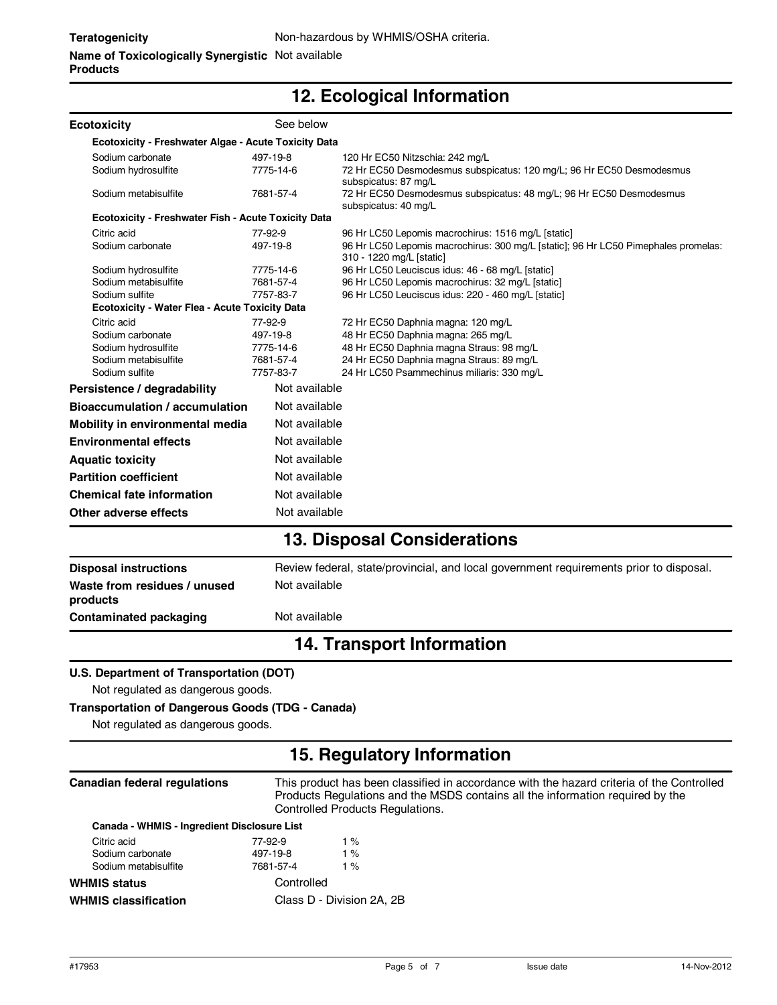#### **Name of Toxicologically Synergistic** Not available **Products**

## **12. Ecological Information**

| <b>Ecotoxicity</b>                                          | See below     |                                                                                                                |  |
|-------------------------------------------------------------|---------------|----------------------------------------------------------------------------------------------------------------|--|
| <b>Ecotoxicity - Freshwater Algae - Acute Toxicity Data</b> |               |                                                                                                                |  |
| Sodium carbonate                                            | 497-19-8      | 120 Hr EC50 Nitzschia: 242 mg/L                                                                                |  |
| Sodium hydrosulfite                                         | 7775-14-6     | 72 Hr EC50 Desmodesmus subspicatus: 120 mg/L; 96 Hr EC50 Desmodesmus<br>subspicatus: 87 mg/L                   |  |
| Sodium metabisulfite                                        | 7681-57-4     | 72 Hr EC50 Desmodesmus subspicatus: 48 mg/L; 96 Hr EC50 Desmodesmus<br>subspicatus: 40 mg/L                    |  |
| <b>Ecotoxicity - Freshwater Fish - Acute Toxicity Data</b>  |               |                                                                                                                |  |
| Citric acid                                                 | 77-92-9       | 96 Hr LC50 Lepomis macrochirus: 1516 mg/L [static]                                                             |  |
| Sodium carbonate                                            | 497-19-8      | 96 Hr LC50 Lepomis macrochirus: 300 mg/L [static]; 96 Hr LC50 Pimephales promelas:<br>310 - 1220 mg/L [static] |  |
| Sodium hydrosulfite                                         | 7775-14-6     | 96 Hr LC50 Leuciscus idus: 46 - 68 mg/L [static]                                                               |  |
| Sodium metabisulfite                                        | 7681-57-4     | 96 Hr LC50 Lepomis macrochirus: 32 mg/L [static]                                                               |  |
| Sodium sulfite                                              | 7757-83-7     | 96 Hr LC50 Leuciscus idus: 220 - 460 mg/L [static]                                                             |  |
| Ecotoxicity - Water Flea - Acute Toxicity Data              |               |                                                                                                                |  |
| Citric acid                                                 | 77-92-9       | 72 Hr EC50 Daphnia magna: 120 mg/L                                                                             |  |
| Sodium carbonate                                            | 497-19-8      | 48 Hr EC50 Daphnia magna: 265 mg/L                                                                             |  |
| Sodium hydrosulfite                                         | 7775-14-6     | 48 Hr EC50 Daphnia magna Straus: 98 mg/L                                                                       |  |
| Sodium metabisulfite                                        | 7681-57-4     | 24 Hr EC50 Daphnia magna Straus: 89 mg/L                                                                       |  |
| Sodium sulfite                                              | 7757-83-7     | 24 Hr LC50 Psammechinus miliaris: 330 mg/L                                                                     |  |
| Persistence / degradability                                 | Not available |                                                                                                                |  |
| Bioaccumulation / accumulation                              | Not available |                                                                                                                |  |
| Mobility in environmental media                             | Not available |                                                                                                                |  |
| <b>Environmental effects</b>                                | Not available |                                                                                                                |  |
| <b>Aquatic toxicity</b>                                     | Not available |                                                                                                                |  |
| <b>Partition coefficient</b>                                | Not available |                                                                                                                |  |
| <b>Chemical fate information</b>                            | Not available |                                                                                                                |  |
| Other adverse effects                                       | Not available |                                                                                                                |  |
|                                                             |               |                                                                                                                |  |

### **13. Disposal Considerations**

| <b>Disposal instructions</b>             | Review federal, state/provincial, and local government requirements prior to disposal. |
|------------------------------------------|----------------------------------------------------------------------------------------|
| Waste from residues / unused<br>products | Not available                                                                          |
| Contaminated packaging                   | Not available                                                                          |

## **14. Transport Information**

#### **U.S. Department of Transportation (DOT)**

Not regulated as dangerous goods.

#### **Transportation of Dangerous Goods (TDG - Canada)**

Not regulated as dangerous goods.

## **15. Regulatory Information**

| Canadian federal regulations                |           | This product has been classified in accordance with the hazard criteria of the Controlled<br>Products Regulations and the MSDS contains all the information required by the<br>Controlled Products Regulations. |  |  |
|---------------------------------------------|-----------|-----------------------------------------------------------------------------------------------------------------------------------------------------------------------------------------------------------------|--|--|
| Canada - WHMIS - Ingredient Disclosure List |           |                                                                                                                                                                                                                 |  |  |
| Citric acid                                 | 77-92-9   | 1 %                                                                                                                                                                                                             |  |  |
| Sodium carbonate                            | 497-19-8  | $1\%$                                                                                                                                                                                                           |  |  |
| Sodium metabisulfite                        | 7681-57-4 | 1 %                                                                                                                                                                                                             |  |  |
| <b>WHMIS status</b>                         |           | Controlled                                                                                                                                                                                                      |  |  |
| <b>WHMIS classification</b>                 |           | Class D - Division 2A, 2B                                                                                                                                                                                       |  |  |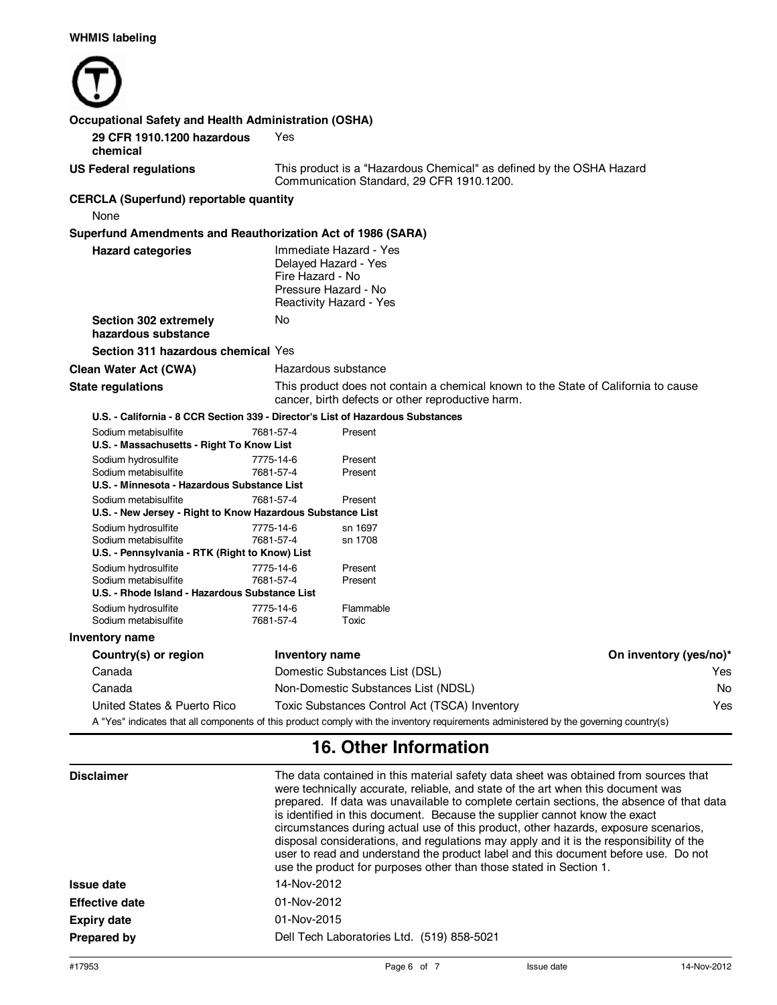| <b>Occupational Safety and Health Administration (OSHA)</b>                                   |                                                                                                                                         |                                                                                                                                       |                        |  |
|-----------------------------------------------------------------------------------------------|-----------------------------------------------------------------------------------------------------------------------------------------|---------------------------------------------------------------------------------------------------------------------------------------|------------------------|--|
| 29 CFR 1910.1200 hazardous<br>chemical                                                        | Yes                                                                                                                                     |                                                                                                                                       |                        |  |
| <b>US Federal regulations</b>                                                                 |                                                                                                                                         | This product is a "Hazardous Chemical" as defined by the OSHA Hazard<br>Communication Standard, 29 CFR 1910.1200.                     |                        |  |
| <b>CERCLA (Superfund) reportable quantity</b><br>None                                         |                                                                                                                                         |                                                                                                                                       |                        |  |
| Superfund Amendments and Reauthorization Act of 1986 (SARA)                                   |                                                                                                                                         |                                                                                                                                       |                        |  |
| <b>Hazard categories</b>                                                                      | Immediate Hazard - Yes<br>Delayed Hazard - Yes<br>Fire Hazard - No<br>Pressure Hazard - No<br>Reactivity Hazard - Yes                   |                                                                                                                                       |                        |  |
| Section 302 extremely<br>hazardous substance                                                  | No                                                                                                                                      |                                                                                                                                       |                        |  |
| Section 311 hazardous chemical Yes                                                            |                                                                                                                                         |                                                                                                                                       |                        |  |
| <b>Clean Water Act (CWA)</b>                                                                  | Hazardous substance                                                                                                                     |                                                                                                                                       |                        |  |
| <b>State regulations</b>                                                                      | This product does not contain a chemical known to the State of California to cause<br>cancer, birth defects or other reproductive harm. |                                                                                                                                       |                        |  |
| U.S. - California - 8 CCR Section 339 - Director's List of Hazardous Substances               |                                                                                                                                         |                                                                                                                                       |                        |  |
| Sodium metabisulfite<br>U.S. - Massachusetts - Right To Know List                             | 7681-57-4                                                                                                                               | Present                                                                                                                               |                        |  |
| Sodium hydrosulfite<br>Sodium metabisulfite<br>U.S. - Minnesota - Hazardous Substance List    | 7775-14-6<br>7681-57-4                                                                                                                  | Present<br>Present                                                                                                                    |                        |  |
| Sodium metabisulfite                                                                          | 7681-57-4                                                                                                                               | Present                                                                                                                               |                        |  |
| U.S. - New Jersey - Right to Know Hazardous Substance List                                    |                                                                                                                                         |                                                                                                                                       |                        |  |
| Sodium hydrosulfite<br>Sodium metabisulfite<br>U.S. - Pennsylvania - RTK (Right to Know) List | 7775-14-6<br>7681-57-4                                                                                                                  | sn 1697<br>sn 1708                                                                                                                    |                        |  |
| Sodium hydrosulfite<br>Sodium metabisulfite<br>U.S. - Rhode Island - Hazardous Substance List | 7775-14-6<br>7681-57-4                                                                                                                  | Present<br>Present                                                                                                                    |                        |  |
| Sodium hydrosulfite<br>Sodium metabisulfite                                                   | 7775-14-6<br>7681-57-4                                                                                                                  | Flammable<br>Toxic                                                                                                                    |                        |  |
| Inventory name                                                                                |                                                                                                                                         |                                                                                                                                       |                        |  |
| Country(s) or region                                                                          | Inventory name                                                                                                                          |                                                                                                                                       | On inventory (yes/no)* |  |
| Canada                                                                                        |                                                                                                                                         | Domestic Substances List (DSL)<br>Yes                                                                                                 |                        |  |
| Canada                                                                                        |                                                                                                                                         | Non-Domestic Substances List (NDSL)<br>No                                                                                             |                        |  |
| United States & Puerto Rico                                                                   |                                                                                                                                         | Toxic Substances Control Act (TSCA) Inventory                                                                                         | Yes                    |  |
|                                                                                               |                                                                                                                                         | A "Yes" indicates that all components of this product comply with the inventory requirements administered by the governing country(s) |                        |  |

## **16. Other Information**

| <b>Disclaimer</b>     | The data contained in this material safety data sheet was obtained from sources that<br>were technically accurate, reliable, and state of the art when this document was<br>prepared. If data was unavailable to complete certain sections, the absence of that data<br>is identified in this document. Because the supplier cannot know the exact<br>circumstances during actual use of this product, other hazards, exposure scenarios,<br>disposal considerations, and regulations may apply and it is the responsibility of the<br>user to read and understand the product label and this document before use. Do not<br>use the product for purposes other than those stated in Section 1. |  |
|-----------------------|-------------------------------------------------------------------------------------------------------------------------------------------------------------------------------------------------------------------------------------------------------------------------------------------------------------------------------------------------------------------------------------------------------------------------------------------------------------------------------------------------------------------------------------------------------------------------------------------------------------------------------------------------------------------------------------------------|--|
| Issue date            | 14-Nov-2012                                                                                                                                                                                                                                                                                                                                                                                                                                                                                                                                                                                                                                                                                     |  |
| <b>Effective date</b> | 01-Nov-2012                                                                                                                                                                                                                                                                                                                                                                                                                                                                                                                                                                                                                                                                                     |  |
| <b>Expiry date</b>    | 01-Nov-2015                                                                                                                                                                                                                                                                                                                                                                                                                                                                                                                                                                                                                                                                                     |  |
| Prepared by           | Dell Tech Laboratories Ltd. (519) 858-5021                                                                                                                                                                                                                                                                                                                                                                                                                                                                                                                                                                                                                                                      |  |